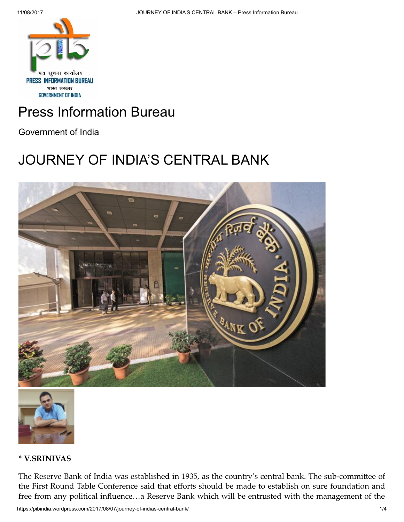

# Press [Information](https://pibindia.wordpress.com/) Bureau

Government of India

## [JOURNEY](https://pibindia.wordpress.com/2017/08/07/journey-of-indias-central-bank/) OF INDIA'S CENTRAL BANK





### \* V.SRINIVAS

The Reserve Bank of India was established in 1935, as the country's central bank. The sub-committee of the First Round Table Conference said that efforts should be made to establish on sure foundation and free from any political influence…a Reserve Bank which will be entrusted with the management of the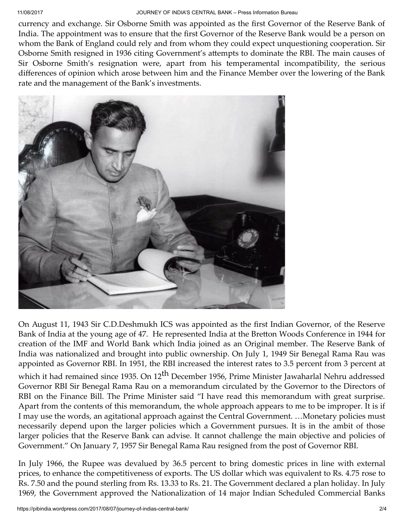currency and exchange. Sir Osborne Smith was appointed as the first Governor of the Reserve Bank of India. The appointment was to ensure that the first Governor of the Reserve Bank would be a person on whom the Bank of England could rely and from whom they could expect unquestioning cooperation. Sir Osborne Smith resigned in 1936 citing Government's attempts to dominate the RBI. The main causes of Sir Osborne Smith's resignation were, apart from his temperamental incompatibility, the serious differences of opinion which arose between him and the Finance Member over the lowering of the Bank rate and the management of the Bank's investments.



On August 11, 1943 Sir C.D.Deshmukh ICS was appointed as the first Indian Governor, of the Reserve Bank of India at the young age of 47. He represented India at the Bretton Woods Conference in 1944 for creation of the IMF and World Bank which India joined as an Original member. The Reserve Bank of India was nationalized and brought into public ownership. On July 1, 1949 Sir Benegal Rama Rau was appointed as Governor RBI. In 1951, the RBI increased the interest rates to 3.5 percent from 3 percent at which it had remained since 1935. On 12<sup>th</sup> December 1956, Prime Minister Jawaharlal Nehru addressed Governor RBI Sir Benegal Rama Rau on a memorandum circulated by the Governor to the Directors of RBI on the Finance Bill. The Prime Minister said "I have read this memorandum with great surprise. Apart from the contents of this memorandum, the whole approach appears to me to be improper. It is if I may use the words, an agitational approach against the Central Government. …Monetary policies must necessarily depend upon the larger policies which a Government pursues. It is in the ambit of those larger policies that the Reserve Bank can advise. It cannot challenge the main objective and policies of Government." On January 7, 1957 Sir Benegal Rama Rau resigned from the post of Governor RBI.

In July 1966, the Rupee was devalued by 36.5 percent to bring domestic prices in line with external prices, to enhance the competitiveness of exports. The US dollar which was equivalent to Rs. 4.75 rose to Rs. 7.50 and the pound sterling from Rs. 13.33 to Rs. 21. The Government declared a plan holiday. In July 1969, the Government approved the Nationalization of 14 major Indian Scheduled Commercial Banks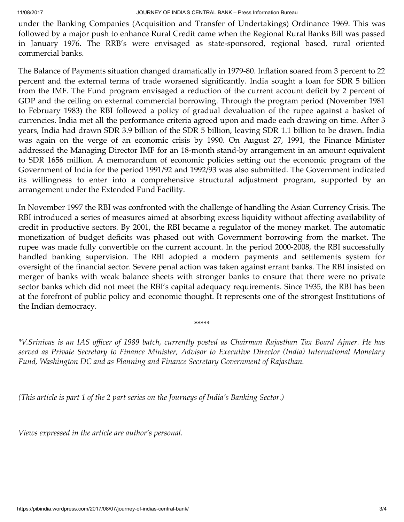under the Banking Companies (Acquisition and Transfer of Undertakings) Ordinance 1969. This was followed by a major push to enhance Rural Credit came when the Regional Rural Banks Bill was passed in January 1976. The RRB's were envisaged as state-sponsored, regional based, rural oriented commercial banks.

The Balance of Payments situation changed dramatically in 1979-80. Inflation soared from 3 percent to 22 percent and the external terms of trade worsened significantly. India sought a loan for SDR 5 billion from the IMF. The Fund program envisaged a reduction of the current account deficit by 2 percent of GDP and the ceiling on external commercial borrowing. Through the program period (November 1981 to February 1983) the RBI followed a policy of gradual devaluation of the rupee against a basket of currencies. India met all the performance criteria agreed upon and made each drawing on time. After 3 years, India had drawn SDR 3.9 billion of the SDR 5 billion, leaving SDR 1.1 billion to be drawn. India was again on the verge of an economic crisis by 1990. On August 27, 1991, the Finance Minister addressed the Managing Director IMF for an 18-month stand-by arrangement in an amount equivalent to SDR 1656 million. A memorandum of economic policies setting out the economic program of the Government of India for the period 1991/92 and 1992/93 was also submitted. The Government indicated its willingness to enter into a comprehensive structural adjustment program, supported by an arrangement under the Extended Fund Facility.

In November 1997 the RBI was confronted with the challenge of handling the Asian Currency Crisis. The RBI introduced a series of measures aimed at absorbing excess liquidity without affecting availability of credit in productive sectors. By 2001, the RBI became a regulator of the money market. The automatic monetization of budget deficits was phased out with Government borrowing from the market. The rupee was made fully convertible on the current account. In the period 2000-2008, the RBI successfully handled banking supervision. The RBI adopted a modern payments and settlements system for oversight of the financial sector. Severe penal action was taken against errant banks. The RBI insisted on merger of banks with weak balance sheets with stronger banks to ensure that there were no private sector banks which did not meet the RBI's capital adequacy requirements. Since 1935, the RBI has been at the forefront of public policy and economic thought. It represents one of the strongest Institutions of the Indian democracy.

\*V. Srinivas is an IAS officer of 1989 batch, currently posted as Chairman Rajasthan Tax Board Ajmer. He has *served as Private Secretary to Finance Minister, Advisor to Executive Director (India) International Monetary Fund, Washington DC and as Planning and Finance Secretary Government of Rajasthan.*

\*\*\*\*\*

*(This article is part 1 of the 2 part series on the Journeys of India's Banking Sector.)*

*Views expressed in the article are author's personal.*